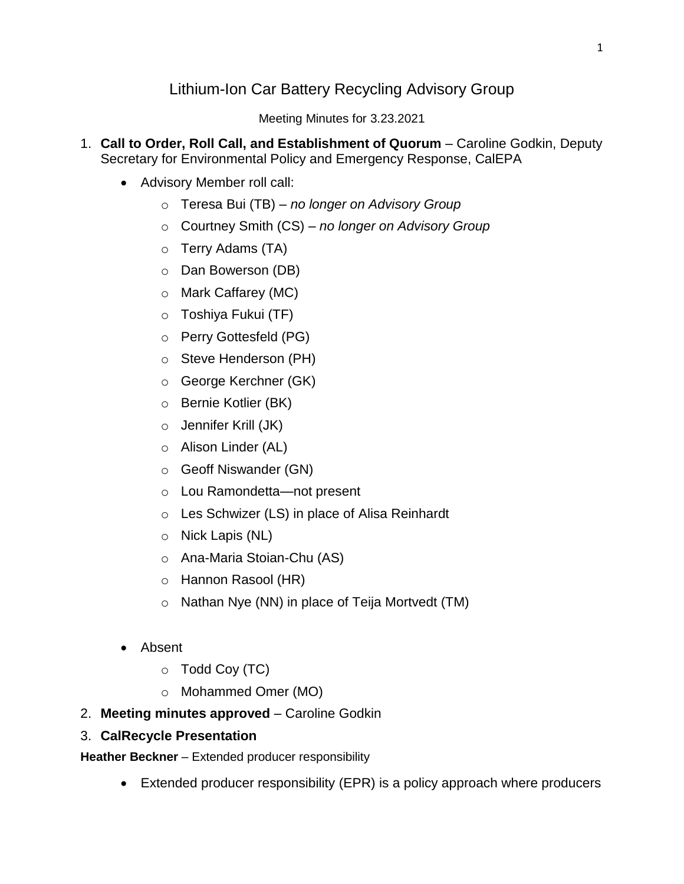# Lithium-Ion Car Battery Recycling Advisory Group

Meeting Minutes for 3.23.2021

- 1. **Call to Order, Roll Call, and Establishment of Quorum** Caroline Godkin, Deputy Secretary for Environmental Policy and Emergency Response, CalEPA
	- Advisory Member roll call:
		- o Teresa Bui (TB) *– no longer on Advisory Group*
		- o Courtney Smith (CS) *– no longer on Advisory Group*
		- o Terry Adams (TA)
		- o Dan Bowerson (DB)
		- o Mark Caffarey (MC)
		- o Toshiya Fukui (TF)
		- o Perry Gottesfeld (PG)
		- o Steve Henderson (PH)
		- o George Kerchner (GK)
		- o Bernie Kotlier (BK)
		- o Jennifer Krill (JK)
		- o Alison Linder (AL)
		- o Geoff Niswander (GN)
		- o Lou Ramondetta—not present
		- o Les Schwizer (LS) in place of Alisa Reinhardt
		- o Nick Lapis (NL)
		- o Ana-Maria Stoian-Chu (AS)
		- o Hannon Rasool (HR)
		- o Nathan Nye (NN) in place of Teija Mortvedt (TM)
	- Absent
		- $\circ$  Todd Coy (TC)
		- o Mohammed Omer (MO)
- 2. **Meeting minutes approved** Caroline Godkin
- 3. **CalRecycle Presentation**

**Heather Beckner** – Extended producer responsibility

Extended producer responsibility (EPR) is a policy approach where producers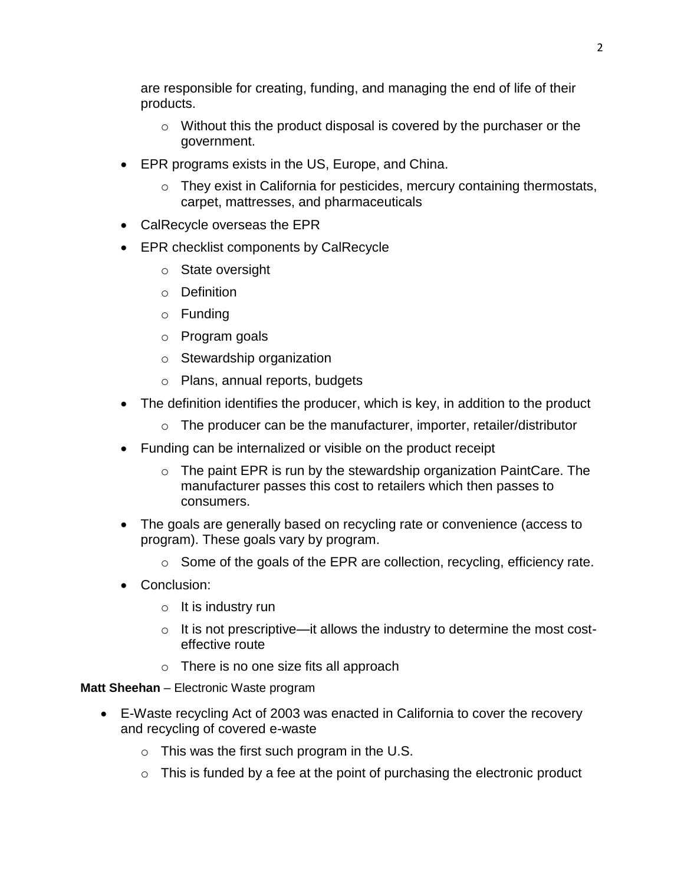are responsible for creating, funding, and managing the end of life of their products.

- o Without this the product disposal is covered by the purchaser or the government.
- EPR programs exists in the US, Europe, and China.
	- $\circ$  They exist in California for pesticides, mercury containing thermostats, carpet, mattresses, and pharmaceuticals
- CalRecycle overseas the EPR
- EPR checklist components by CalRecycle
	- o State oversight
	- o Definition
	- o Funding
	- o Program goals
	- o Stewardship organization
	- o Plans, annual reports, budgets
- The definition identifies the producer, which is key, in addition to the product
	- $\circ$  The producer can be the manufacturer, importer, retailer/distributor
- Funding can be internalized or visible on the product receipt
	- $\circ$  The paint EPR is run by the stewardship organization PaintCare. The manufacturer passes this cost to retailers which then passes to consumers.
- The goals are generally based on recycling rate or convenience (access to program). These goals vary by program.
	- $\circ$  Some of the goals of the EPR are collection, recycling, efficiency rate.
- Conclusion:
	- $\circ$  It is industry run
	- $\circ$  It is not prescriptive—it allows the industry to determine the most costeffective route
	- o There is no one size fits all approach

**Matt Sheehan** – Electronic Waste program

- E-Waste recycling Act of 2003 was enacted in California to cover the recovery and recycling of covered e-waste
	- $\circ$  This was the first such program in the U.S.
	- $\circ$  This is funded by a fee at the point of purchasing the electronic product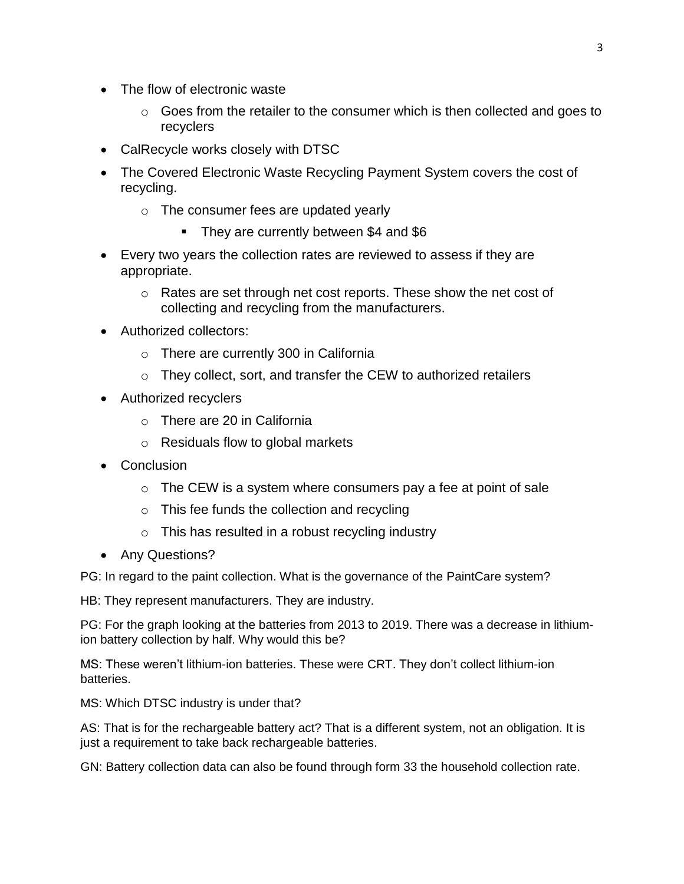- The flow of electronic waste
	- o Goes from the retailer to the consumer which is then collected and goes to recyclers
- CalRecycle works closely with DTSC
- The Covered Electronic Waste Recycling Payment System covers the cost of recycling.
	- o The consumer fees are updated yearly
		- They are currently between \$4 and \$6
- Every two years the collection rates are reviewed to assess if they are appropriate.
	- o Rates are set through net cost reports. These show the net cost of collecting and recycling from the manufacturers.
- Authorized collectors:
	- o There are currently 300 in California
	- o They collect, sort, and transfer the CEW to authorized retailers
- Authorized recyclers
	- o There are 20 in California
	- o Residuals flow to global markets
- Conclusion
	- $\circ$  The CEW is a system where consumers pay a fee at point of sale
	- o This fee funds the collection and recycling
	- $\circ$  This has resulted in a robust recycling industry
- Any Questions?

PG: In regard to the paint collection. What is the governance of the PaintCare system?

HB: They represent manufacturers. They are industry.

PG: For the graph looking at the batteries from 2013 to 2019. There was a decrease in lithiumion battery collection by half. Why would this be?

MS: These weren't lithium-ion batteries. These were CRT. They don't collect lithium-ion batteries.

MS: Which DTSC industry is under that?

AS: That is for the rechargeable battery act? That is a different system, not an obligation. It is just a requirement to take back rechargeable batteries.

GN: Battery collection data can also be found through form 33 the household collection rate.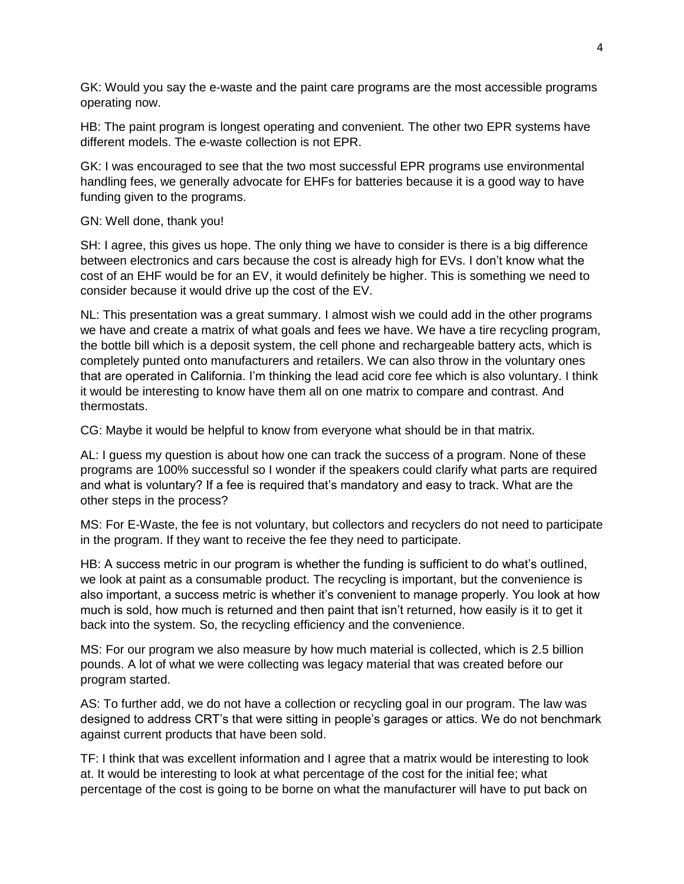GK: Would you say the e-waste and the paint care programs are the most accessible programs operating now.

HB: The paint program is longest operating and convenient. The other two EPR systems have different models. The e-waste collection is not EPR.

GK: I was encouraged to see that the two most successful EPR programs use environmental handling fees, we generally advocate for EHFs for batteries because it is a good way to have funding given to the programs.

## GN: Well done, thank you!

SH: I agree, this gives us hope. The only thing we have to consider is there is a big difference between electronics and cars because the cost is already high for EVs. I don't know what the cost of an EHF would be for an EV, it would definitely be higher. This is something we need to consider because it would drive up the cost of the EV.

NL: This presentation was a great summary. I almost wish we could add in the other programs we have and create a matrix of what goals and fees we have. We have a tire recycling program, the bottle bill which is a deposit system, the cell phone and rechargeable battery acts, which is completely punted onto manufacturers and retailers. We can also throw in the voluntary ones that are operated in California. I'm thinking the lead acid core fee which is also voluntary. I think it would be interesting to know have them all on one matrix to compare and contrast. And thermostats.

CG: Maybe it would be helpful to know from everyone what should be in that matrix.

AL: I guess my question is about how one can track the success of a program. None of these programs are 100% successful so I wonder if the speakers could clarify what parts are required and what is voluntary? If a fee is required that's mandatory and easy to track. What are the other steps in the process?

MS: For E-Waste, the fee is not voluntary, but collectors and recyclers do not need to participate in the program. If they want to receive the fee they need to participate.

HB: A success metric in our program is whether the funding is sufficient to do what's outlined, we look at paint as a consumable product. The recycling is important, but the convenience is also important, a success metric is whether it's convenient to manage properly. You look at how much is sold, how much is returned and then paint that isn't returned, how easily is it to get it back into the system. So, the recycling efficiency and the convenience.

MS: For our program we also measure by how much material is collected, which is 2.5 billion pounds. A lot of what we were collecting was legacy material that was created before our program started.

AS: To further add, we do not have a collection or recycling goal in our program. The law was designed to address CRT's that were sitting in people's garages or attics. We do not benchmark against current products that have been sold.

TF: I think that was excellent information and I agree that a matrix would be interesting to look at. It would be interesting to look at what percentage of the cost for the initial fee; what percentage of the cost is going to be borne on what the manufacturer will have to put back on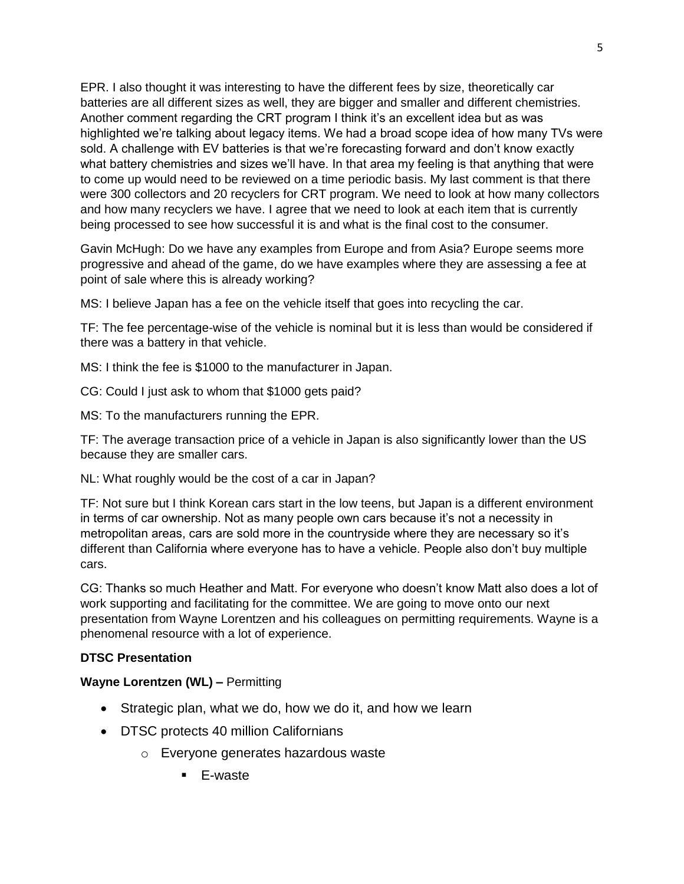EPR. I also thought it was interesting to have the different fees by size, theoretically car batteries are all different sizes as well, they are bigger and smaller and different chemistries. Another comment regarding the CRT program I think it's an excellent idea but as was highlighted we're talking about legacy items. We had a broad scope idea of how many TVs were sold. A challenge with EV batteries is that we're forecasting forward and don't know exactly what battery chemistries and sizes we'll have. In that area my feeling is that anything that were to come up would need to be reviewed on a time periodic basis. My last comment is that there were 300 collectors and 20 recyclers for CRT program. We need to look at how many collectors and how many recyclers we have. I agree that we need to look at each item that is currently being processed to see how successful it is and what is the final cost to the consumer.

Gavin McHugh: Do we have any examples from Europe and from Asia? Europe seems more progressive and ahead of the game, do we have examples where they are assessing a fee at point of sale where this is already working?

MS: I believe Japan has a fee on the vehicle itself that goes into recycling the car.

TF: The fee percentage-wise of the vehicle is nominal but it is less than would be considered if there was a battery in that vehicle.

MS: I think the fee is \$1000 to the manufacturer in Japan.

CG: Could I just ask to whom that \$1000 gets paid?

MS: To the manufacturers running the EPR.

TF: The average transaction price of a vehicle in Japan is also significantly lower than the US because they are smaller cars.

NL: What roughly would be the cost of a car in Japan?

TF: Not sure but I think Korean cars start in the low teens, but Japan is a different environment in terms of car ownership. Not as many people own cars because it's not a necessity in metropolitan areas, cars are sold more in the countryside where they are necessary so it's different than California where everyone has to have a vehicle. People also don't buy multiple cars.

CG: Thanks so much Heather and Matt. For everyone who doesn't know Matt also does a lot of work supporting and facilitating for the committee. We are going to move onto our next presentation from Wayne Lorentzen and his colleagues on permitting requirements. Wayne is a phenomenal resource with a lot of experience.

## **DTSC Presentation**

## **Wayne Lorentzen (WL) –** Permitting

- Strategic plan, what we do, how we do it, and how we learn
- DTSC protects 40 million Californians
	- o Everyone generates hazardous waste
		- E-waste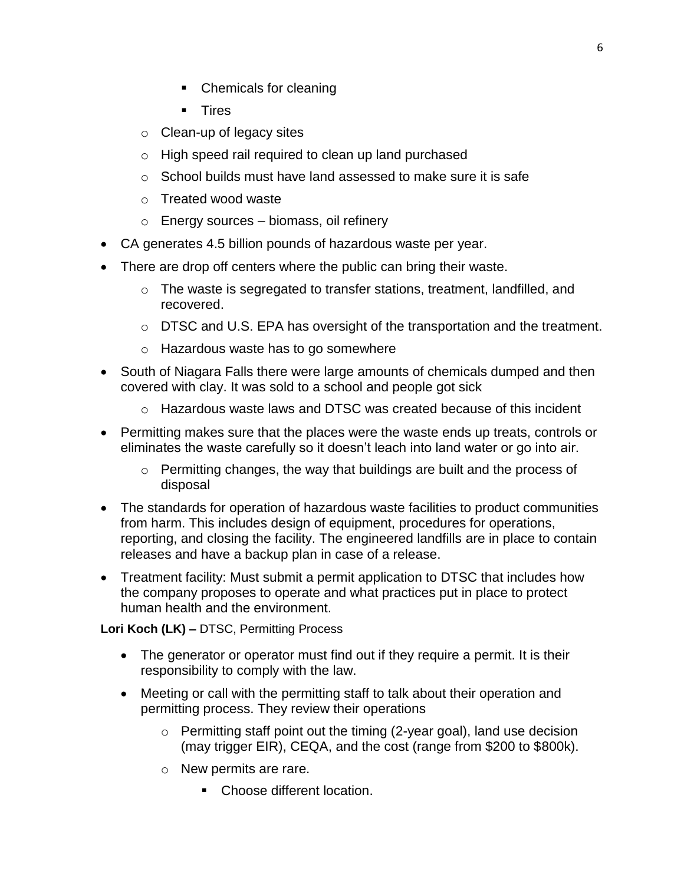- Chemicals for cleaning
- Tires
- o Clean-up of legacy sites
- o High speed rail required to clean up land purchased
- $\circ$  School builds must have land assessed to make sure it is safe
- o Treated wood waste
- $\circ$  Energy sources biomass, oil refinery
- CA generates 4.5 billion pounds of hazardous waste per year.
- There are drop off centers where the public can bring their waste.
	- $\circ$  The waste is segregated to transfer stations, treatment, landfilled, and recovered.
	- o DTSC and U.S. EPA has oversight of the transportation and the treatment.
	- o Hazardous waste has to go somewhere
- South of Niagara Falls there were large amounts of chemicals dumped and then covered with clay. It was sold to a school and people got sick
	- $\circ$  Hazardous waste laws and DTSC was created because of this incident
- Permitting makes sure that the places were the waste ends up treats, controls or eliminates the waste carefully so it doesn't leach into land water or go into air.
	- o Permitting changes, the way that buildings are built and the process of disposal
- The standards for operation of hazardous waste facilities to product communities from harm. This includes design of equipment, procedures for operations, reporting, and closing the facility. The engineered landfills are in place to contain releases and have a backup plan in case of a release.
- Treatment facility: Must submit a permit application to DTSC that includes how the company proposes to operate and what practices put in place to protect human health and the environment.

**Lori Koch (LK) –** DTSC, Permitting Process

- The generator or operator must find out if they require a permit. It is their responsibility to comply with the law.
- Meeting or call with the permitting staff to talk about their operation and permitting process. They review their operations
	- o Permitting staff point out the timing (2-year goal), land use decision (may trigger EIR), CEQA, and the cost (range from \$200 to \$800k).
	- o New permits are rare.
		- Choose different location.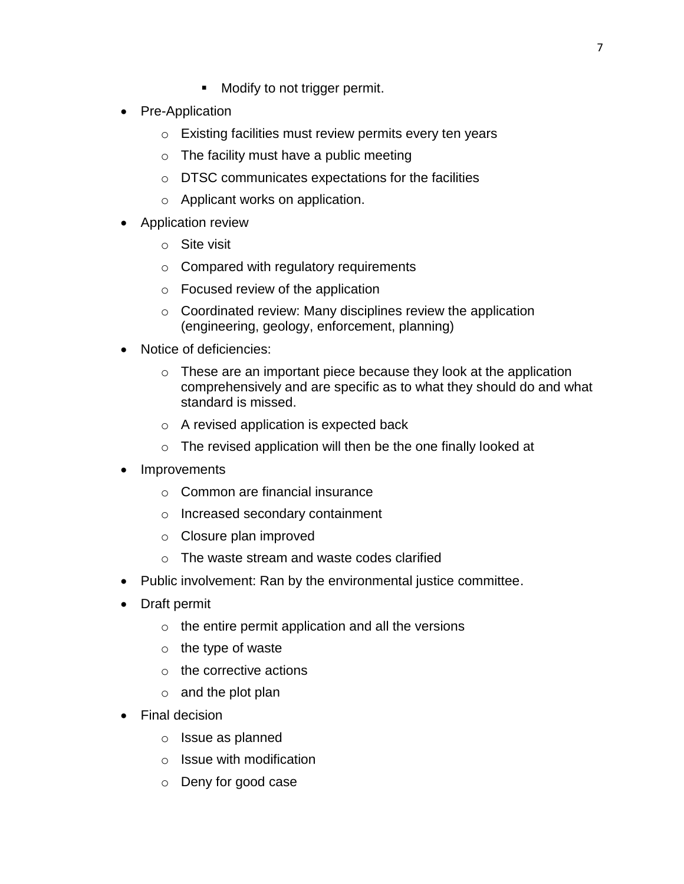- Modify to not trigger permit.
- Pre-Application
	- o Existing facilities must review permits every ten years
	- $\circ$  The facility must have a public meeting
	- o DTSC communicates expectations for the facilities
	- o Applicant works on application.
- Application review
	- o Site visit
	- o Compared with regulatory requirements
	- o Focused review of the application
	- $\circ$  Coordinated review: Many disciplines review the application (engineering, geology, enforcement, planning)
- Notice of deficiencies:
	- $\circ$  These are an important piece because they look at the application comprehensively and are specific as to what they should do and what standard is missed.
	- o A revised application is expected back
	- $\circ$  The revised application will then be the one finally looked at
- Improvements
	- o Common are financial insurance
	- o Increased secondary containment
	- o Closure plan improved
	- o The waste stream and waste codes clarified
- Public involvement: Ran by the environmental justice committee.
- Draft permit
	- $\circ$  the entire permit application and all the versions
	- $\circ$  the type of waste
	- $\circ$  the corrective actions
	- $\circ$  and the plot plan
- Final decision
	- o Issue as planned
	- o Issue with modification
	- o Deny for good case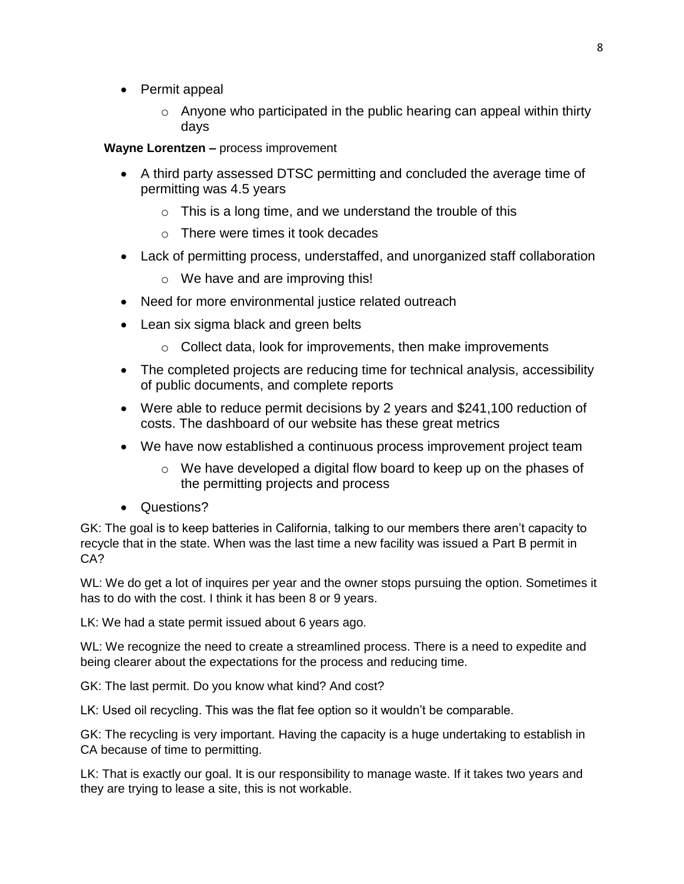- Permit appeal
	- $\circ$  Anyone who participated in the public hearing can appeal within thirty days

**Wayne Lorentzen –** process improvement

- A third party assessed DTSC permitting and concluded the average time of permitting was 4.5 years
	- $\circ$  This is a long time, and we understand the trouble of this
	- $\circ$  There were times it took decades
- Lack of permitting process, understaffed, and unorganized staff collaboration
	- o We have and are improving this!
- Need for more environmental justice related outreach
- Lean six sigma black and green belts
	- $\circ$  Collect data, look for improvements, then make improvements
- The completed projects are reducing time for technical analysis, accessibility of public documents, and complete reports
- Were able to reduce permit decisions by 2 years and \$241,100 reduction of costs. The dashboard of our website has these great metrics
- We have now established a continuous process improvement project team
	- $\circ$  We have developed a digital flow board to keep up on the phases of the permitting projects and process
- Questions?

GK: The goal is to keep batteries in California, talking to our members there aren't capacity to recycle that in the state. When was the last time a new facility was issued a Part B permit in CA?

WL: We do get a lot of inquires per year and the owner stops pursuing the option. Sometimes it has to do with the cost. I think it has been 8 or 9 years.

LK: We had a state permit issued about 6 years ago.

WL: We recognize the need to create a streamlined process. There is a need to expedite and being clearer about the expectations for the process and reducing time.

GK: The last permit. Do you know what kind? And cost?

LK: Used oil recycling. This was the flat fee option so it wouldn't be comparable.

GK: The recycling is very important. Having the capacity is a huge undertaking to establish in CA because of time to permitting.

LK: That is exactly our goal. It is our responsibility to manage waste. If it takes two years and they are trying to lease a site, this is not workable.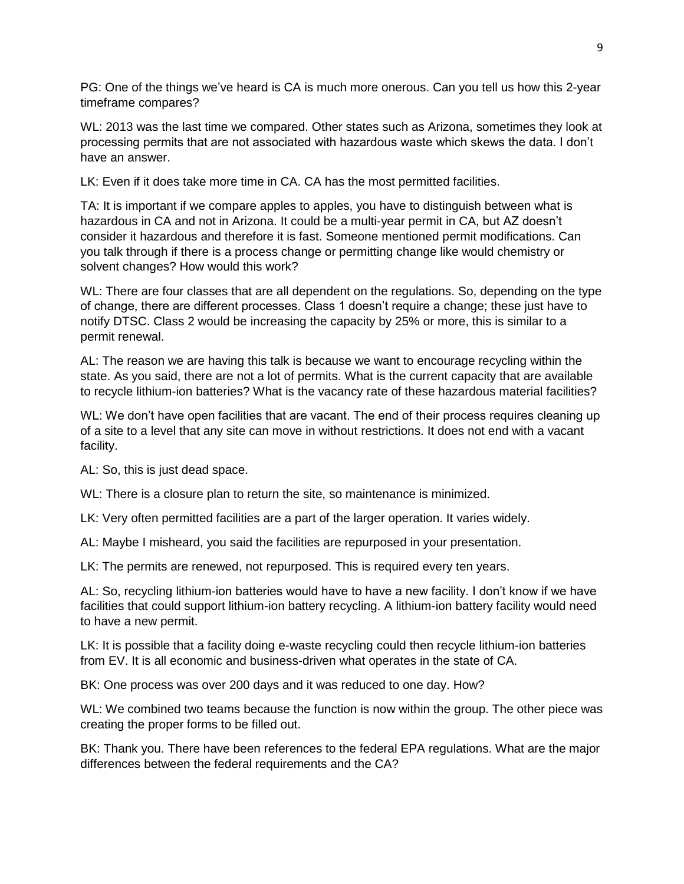PG: One of the things we've heard is CA is much more onerous. Can you tell us how this 2-year timeframe compares?

WL: 2013 was the last time we compared. Other states such as Arizona, sometimes they look at processing permits that are not associated with hazardous waste which skews the data. I don't have an answer.

LK: Even if it does take more time in CA. CA has the most permitted facilities.

TA: It is important if we compare apples to apples, you have to distinguish between what is hazardous in CA and not in Arizona. It could be a multi-year permit in CA, but AZ doesn't consider it hazardous and therefore it is fast. Someone mentioned permit modifications. Can you talk through if there is a process change or permitting change like would chemistry or solvent changes? How would this work?

WL: There are four classes that are all dependent on the regulations. So, depending on the type of change, there are different processes. Class 1 doesn't require a change; these just have to notify DTSC. Class 2 would be increasing the capacity by 25% or more, this is similar to a permit renewal.

AL: The reason we are having this talk is because we want to encourage recycling within the state. As you said, there are not a lot of permits. What is the current capacity that are available to recycle lithium-ion batteries? What is the vacancy rate of these hazardous material facilities?

WL: We don't have open facilities that are vacant. The end of their process requires cleaning up of a site to a level that any site can move in without restrictions. It does not end with a vacant facility.

AL: So, this is just dead space.

WL: There is a closure plan to return the site, so maintenance is minimized.

LK: Very often permitted facilities are a part of the larger operation. It varies widely.

AL: Maybe I misheard, you said the facilities are repurposed in your presentation.

LK: The permits are renewed, not repurposed. This is required every ten years.

AL: So, recycling lithium-ion batteries would have to have a new facility. I don't know if we have facilities that could support lithium-ion battery recycling. A lithium-ion battery facility would need to have a new permit.

LK: It is possible that a facility doing e-waste recycling could then recycle lithium-ion batteries from EV. It is all economic and business-driven what operates in the state of CA.

BK: One process was over 200 days and it was reduced to one day. How?

WL: We combined two teams because the function is now within the group. The other piece was creating the proper forms to be filled out.

BK: Thank you. There have been references to the federal EPA regulations. What are the major differences between the federal requirements and the CA?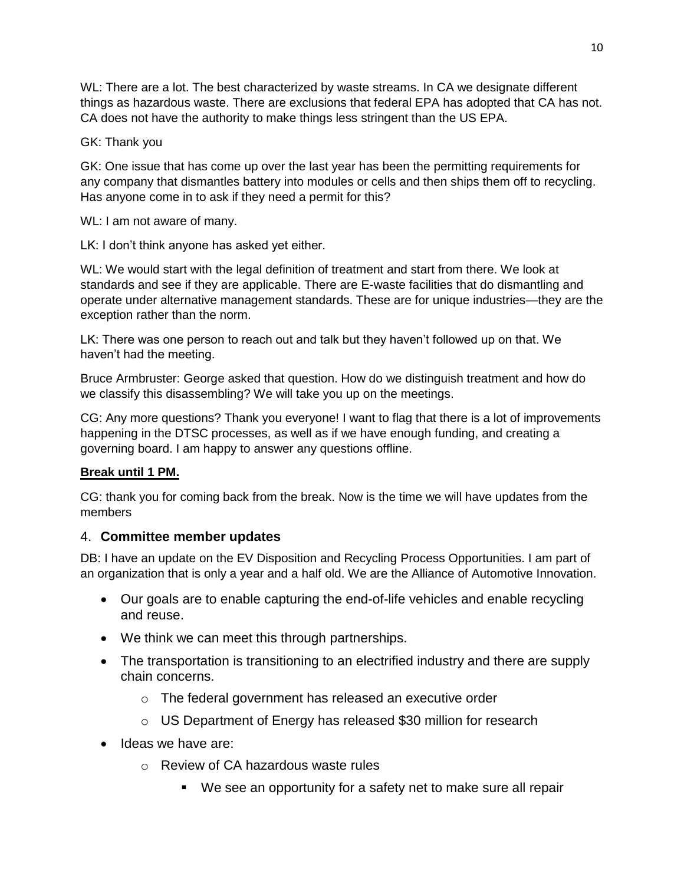WL: There are a lot. The best characterized by waste streams. In CA we designate different things as hazardous waste. There are exclusions that federal EPA has adopted that CA has not. CA does not have the authority to make things less stringent than the US EPA.

## GK: Thank you

GK: One issue that has come up over the last year has been the permitting requirements for any company that dismantles battery into modules or cells and then ships them off to recycling. Has anyone come in to ask if they need a permit for this?

WL: I am not aware of many.

LK: I don't think anyone has asked yet either.

WL: We would start with the legal definition of treatment and start from there. We look at standards and see if they are applicable. There are E-waste facilities that do dismantling and operate under alternative management standards. These are for unique industries—they are the exception rather than the norm.

LK: There was one person to reach out and talk but they haven't followed up on that. We haven't had the meeting.

Bruce Armbruster: George asked that question. How do we distinguish treatment and how do we classify this disassembling? We will take you up on the meetings.

CG: Any more questions? Thank you everyone! I want to flag that there is a lot of improvements happening in the DTSC processes, as well as if we have enough funding, and creating a governing board. I am happy to answer any questions offline.

# **Break until 1 PM.**

CG: thank you for coming back from the break. Now is the time we will have updates from the members

# 4. **Committee member updates**

DB: I have an update on the EV Disposition and Recycling Process Opportunities. I am part of an organization that is only a year and a half old. We are the Alliance of Automotive Innovation.

- Our goals are to enable capturing the end-of-life vehicles and enable recycling and reuse.
- We think we can meet this through partnerships.
- The transportation is transitioning to an electrified industry and there are supply chain concerns.
	- o The federal government has released an executive order
	- o US Department of Energy has released \$30 million for research
- Ideas we have are:
	- o Review of CA hazardous waste rules
		- We see an opportunity for a safety net to make sure all repair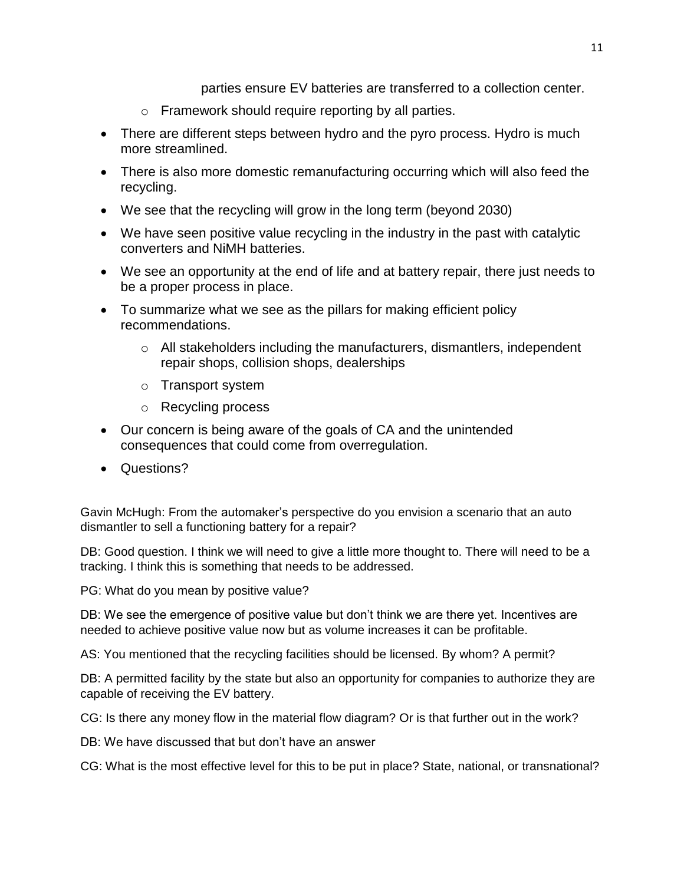parties ensure EV batteries are transferred to a collection center.

- o Framework should require reporting by all parties.
- There are different steps between hydro and the pyro process. Hydro is much more streamlined.
- There is also more domestic remanufacturing occurring which will also feed the recycling.
- We see that the recycling will grow in the long term (beyond 2030)
- We have seen positive value recycling in the industry in the past with catalytic converters and NiMH batteries.
- We see an opportunity at the end of life and at battery repair, there just needs to be a proper process in place.
- To summarize what we see as the pillars for making efficient policy recommendations.
	- $\circ$  All stakeholders including the manufacturers, dismantlers, independent repair shops, collision shops, dealerships
	- o Transport system
	- o Recycling process
- Our concern is being aware of the goals of CA and the unintended consequences that could come from overregulation.
- Questions?

Gavin McHugh: From the automaker's perspective do you envision a scenario that an auto dismantler to sell a functioning battery for a repair?

DB: Good question. I think we will need to give a little more thought to. There will need to be a tracking. I think this is something that needs to be addressed.

PG: What do you mean by positive value?

DB: We see the emergence of positive value but don't think we are there yet. Incentives are needed to achieve positive value now but as volume increases it can be profitable.

AS: You mentioned that the recycling facilities should be licensed. By whom? A permit?

DB: A permitted facility by the state but also an opportunity for companies to authorize they are capable of receiving the EV battery.

CG: Is there any money flow in the material flow diagram? Or is that further out in the work?

DB: We have discussed that but don't have an answer

CG: What is the most effective level for this to be put in place? State, national, or transnational?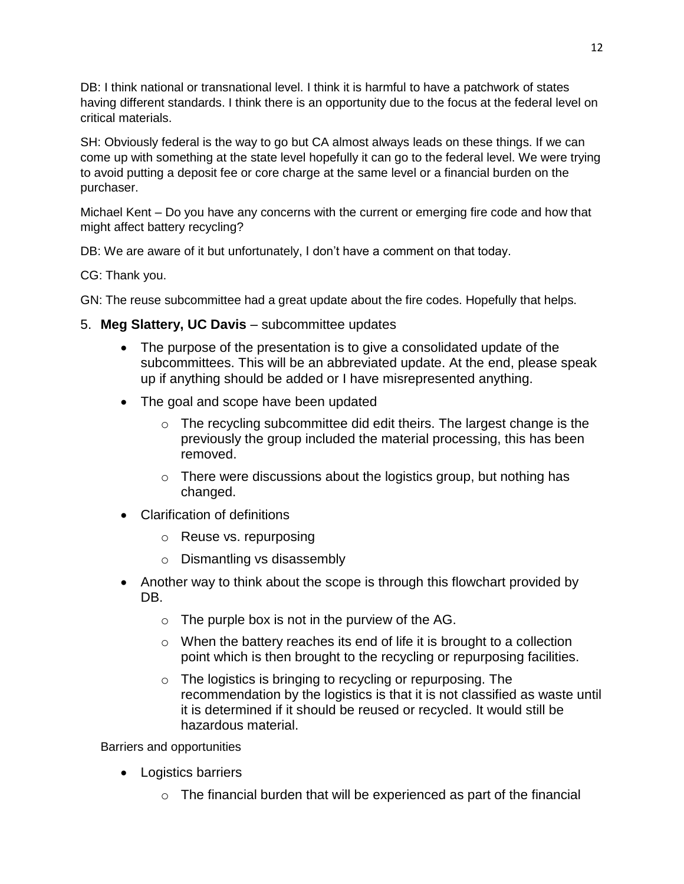DB: I think national or transnational level. I think it is harmful to have a patchwork of states having different standards. I think there is an opportunity due to the focus at the federal level on critical materials.

SH: Obviously federal is the way to go but CA almost always leads on these things. If we can come up with something at the state level hopefully it can go to the federal level. We were trying to avoid putting a deposit fee or core charge at the same level or a financial burden on the purchaser.

Michael Kent – Do you have any concerns with the current or emerging fire code and how that might affect battery recycling?

DB: We are aware of it but unfortunately, I don't have a comment on that today.

CG: Thank you.

GN: The reuse subcommittee had a great update about the fire codes. Hopefully that helps.

- 5. **Meg Slattery, UC Davis** subcommittee updates
	- The purpose of the presentation is to give a consolidated update of the subcommittees. This will be an abbreviated update. At the end, please speak up if anything should be added or I have misrepresented anything.
	- The goal and scope have been updated
		- o The recycling subcommittee did edit theirs. The largest change is the previously the group included the material processing, this has been removed.
		- $\circ$  There were discussions about the logistics group, but nothing has changed.
	- Clarification of definitions
		- o Reuse vs. repurposing
		- o Dismantling vs disassembly
	- Another way to think about the scope is through this flowchart provided by DB.
		- $\circ$  The purple box is not in the purview of the AG.
		- $\circ$  When the battery reaches its end of life it is brought to a collection point which is then brought to the recycling or repurposing facilities.
		- $\circ$  The logistics is bringing to recycling or repurposing. The recommendation by the logistics is that it is not classified as waste until it is determined if it should be reused or recycled. It would still be hazardous material.

Barriers and opportunities

- Logistics barriers
	- $\circ$  The financial burden that will be experienced as part of the financial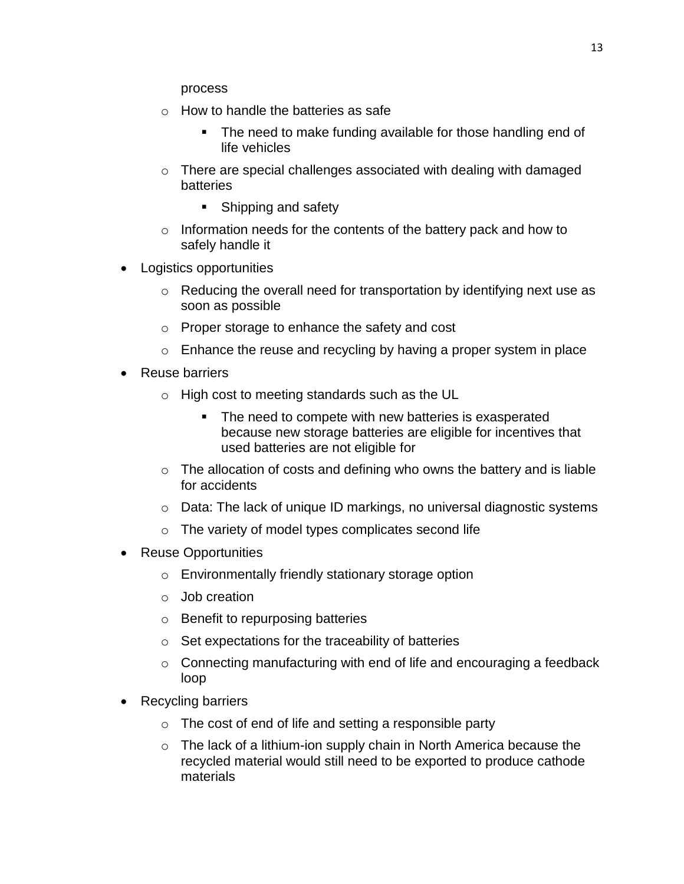process

- o How to handle the batteries as safe
	- The need to make funding available for those handling end of life vehicles
- $\circ$  There are special challenges associated with dealing with damaged batteries
	- **Shipping and safety**
- o Information needs for the contents of the battery pack and how to safely handle it
- Logistics opportunities
	- o Reducing the overall need for transportation by identifying next use as soon as possible
	- o Proper storage to enhance the safety and cost
	- $\circ$  Enhance the reuse and recycling by having a proper system in place
- Reuse barriers
	- o High cost to meeting standards such as the UL
		- **The need to compete with new batteries is exasperated** because new storage batteries are eligible for incentives that used batteries are not eligible for
	- $\circ$  The allocation of costs and defining who owns the battery and is liable for accidents
	- o Data: The lack of unique ID markings, no universal diagnostic systems
	- o The variety of model types complicates second life
- Reuse Opportunities
	- o Environmentally friendly stationary storage option
	- o Job creation
	- o Benefit to repurposing batteries
	- $\circ$  Set expectations for the traceability of batteries
	- $\circ$  Connecting manufacturing with end of life and encouraging a feedback loop
- Recycling barriers
	- $\circ$  The cost of end of life and setting a responsible party
	- $\circ$  The lack of a lithium-ion supply chain in North America because the recycled material would still need to be exported to produce cathode materials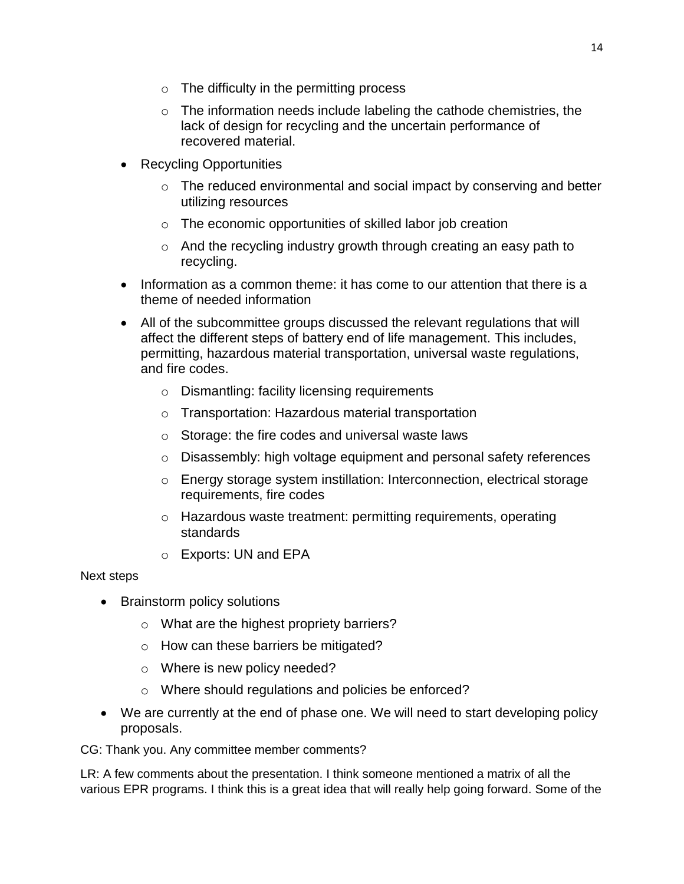- $\circ$  The difficulty in the permitting process
- o The information needs include labeling the cathode chemistries, the lack of design for recycling and the uncertain performance of recovered material.
- Recycling Opportunities
	- $\circ$  The reduced environmental and social impact by conserving and better utilizing resources
	- o The economic opportunities of skilled labor job creation
	- o And the recycling industry growth through creating an easy path to recycling.
- Information as a common theme: it has come to our attention that there is a theme of needed information
- All of the subcommittee groups discussed the relevant regulations that will affect the different steps of battery end of life management. This includes, permitting, hazardous material transportation, universal waste regulations, and fire codes.
	- o Dismantling: facility licensing requirements
	- o Transportation: Hazardous material transportation
	- $\circ$  Storage: the fire codes and universal waste laws
	- o Disassembly: high voltage equipment and personal safety references
	- o Energy storage system instillation: Interconnection, electrical storage requirements, fire codes
	- o Hazardous waste treatment: permitting requirements, operating standards
	- o Exports: UN and EPA

## Next steps

- Brainstorm policy solutions
	- o What are the highest propriety barriers?
	- o How can these barriers be mitigated?
	- o Where is new policy needed?
	- o Where should regulations and policies be enforced?
- We are currently at the end of phase one. We will need to start developing policy proposals.
- CG: Thank you. Any committee member comments?

LR: A few comments about the presentation. I think someone mentioned a matrix of all the various EPR programs. I think this is a great idea that will really help going forward. Some of the